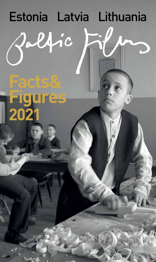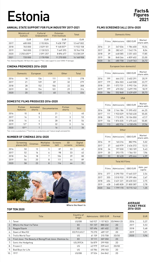# Estonia **Facts&**

#### **ANNUAL STATE SUPPORT FOR FILM INDUSTRY 2017-2021**

|      | Ministry of<br>Culture | Cultural<br>Endowment | Estonian<br>Film Institute | Total      |
|------|------------------------|-----------------------|----------------------------|------------|
|      | <b>EUR</b>             | <b>EUR</b>            | <b>EUR</b>                 | EUR        |
| 2017 | 685000                 | 2 153 824             | 9628178*                   | 12 467 002 |
| 2018 | 745000                 | 2029101               | 9 148 057*                 | 11 922 158 |
| 2019 | 965000                 | 2 130 523             | 7649395                    | 10744918   |
| 2020 | 2 2 5 0 4 0 5 **       | 2091257               | 8896677                    | 13 238 339 |
| 2021 | 720 000                | 2 178 908             | 11 270 000                 | 14 168 908 |

\*Incl. Estonian Republic 100 Years film support | \*\*Incl. state support to cover COVID-19 damages

#### **CINEMA PREMIERES 2016-2020**

|      | Domestic | European | <b>USA</b> | Other | Total |
|------|----------|----------|------------|-------|-------|
| 2016 | 18       | 136      | 111        | 13    | 278   |
| 2017 | 21       | 139      | 87         | 32    | 279   |
| 2018 | 28       | 152      | 106        | 22    | 308   |
| 2019 | 30       | 154      | 101        | 29    | 314   |
| 2020 | 20       | 132      | 60         | 14    | 226   |

#### **DOMESTIC FILMS PRODUCED 2016-2020**

|      | Fiction<br>features | Animated<br>shorts | <b>Documentaries</b> | Fiction<br>shorts | Total |
|------|---------------------|--------------------|----------------------|-------------------|-------|
| 2016 | 10                  | 8                  | 21                   |                   | 40    |
| 2017 | 14                  | 5                  | 31                   | 3                 | 53    |
| 2018 | 14                  | 4                  | 28                   | 8                 | 54    |
| 2019 | $12*$               | 9                  | 32                   | 3                 | 56    |
| 2020 | $15***$             |                    | 16                   | 4                 | 36    |

\*Incl. 4 min co-productions | \*\*Incl.5 min co-productions and 1 feature length animated film

#### **NUMBER OF CINEMAS 2016-2020**

|      | Screening<br>places (all) | <b>Cinemas</b> | Multiplex<br>cinemas | <b>Screens</b><br>[all] | 3D<br>screens | Digital<br>screens |
|------|---------------------------|----------------|----------------------|-------------------------|---------------|--------------------|
| 2016 | 50                        | 12             | 5                    | 87                      | 33            | 62                 |
| 2017 | 52                        | 16             | 6                    | 98                      | 33            | 62                 |
| 2018 | 54                        | 18             | 7                    | 104                     | 39            | 80                 |
| 2019 | 56                        | 20             | 8                    | 111                     | 44            | 89                 |
| 2020 | 58                        | 23             | 8                    | 116                     | 44            | 91                 |



Where the Heart Is

#### **TOP TEN 2020**

|     | Title                                                   | Country of<br>Origin | Admissions GBO EUR |           | Format     |
|-----|---------------------------------------------------------|----------------------|--------------------|-----------|------------|
|     | Tenet                                                   | US/GB                | 160 927            | 1 157 823 | 2D/IMAX 2D |
| 2.  | Where the Heart Is/Talve                                | EE.                  | 151 137            | 880 232   | 2D         |
| 3.  | Raggie/Sipsik                                           | <b>EE</b>            | 107496             | 481402    | 2D         |
| 4.  | Dawn of War/02                                          | EE/FI/LV/LT          | 75 270             | 489 137   | 2D         |
| 5.  | Trolls World Tour                                       | US                   | 61 159             | 315 758   | 2D/3D      |
| 6.  | Fred Jüssi. The Beauty of Being/Fred Jüssi. Olemise ilu | <b>EE</b>            | 57 111             | 307 350   | 2D         |
| 7.  | Sonic the Hedgehog                                      | US/JP/CA             | 56879              | 299 900   | 2D         |
| 8.  | Frozen 2                                                | US                   | 42979              | 239443    | 2D/3D      |
| 9.  | <b>Bad Boys for Life</b>                                | US                   | 40784              | 290 103   | 2D         |
| 10. | 1917                                                    | US/GB                | 37 524             | 244842    | 2D         |

#### **FILMS SCREENED (all) 2016-2020**

| Domestic films      |    |                |                      |       |  |
|---------------------|----|----------------|----------------------|-------|--|
| Admissions<br>Films |    | <b>GBO EUR</b> | Market<br>share adm. |       |  |
| 2016                | 21 | 347036         | 1784600              | 10.54 |  |
| 2017                | 28 | 282421         | 1542174              | 8.04  |  |
| 2018                | 39 | 648585         | 3 3 5 1 4 0 3        | 17,85 |  |
| 2019                | 58 | 848266         | 4859602              | 23,00 |  |
| 2020                | 34 | 480758         | 2649763              | 26,72 |  |

#### European (non-domestic) Films Admissions GBO EUR Market share adm. 2016 199 664 212 3 402 291 20,19 2017 179 834 503 4 460 508 23,77 2018 201 1 072 731 5 992 136 29,55

2019 199 670 352 3 699 190 18,19 2020 186 552 868 3 439 459 30,73  $\overline{U}$ 

|      | U5A   |            |                |                      |  |  |
|------|-------|------------|----------------|----------------------|--|--|
|      | Films | Admissions | <b>GBO EUR</b> | Market<br>share adm. |  |  |
| 2016 | 138   | 2 144 186  | 11 595 452     | 64,25                |  |  |
| 2017 | 111   | 1933029    | 10 760 430     | 55.05                |  |  |
| 2018 | 138   | 1712875    | 10 104 050     | 47.17                |  |  |
| 2019 | 136   | 1874035    | 11 475 445     | 50.85                |  |  |
| 2020 | 113   | 682916     | 4 130 476      | 37.96                |  |  |
|      |       |            |                |                      |  |  |

|      | Films | Admissions | <b>GBO EUR</b> | Market<br>share adm. |
|------|-------|------------|----------------|----------------------|
| 2016 | 19    | 165316     | 882994         | 5.02                 |
| 2017 | 37    | 460979     | 2636372        | 13.13                |
| 2018 | 26    | 197030     | 1 183 109      | 5,43                 |
| 2019 | 35    | 293 175    | 1766151        | 7.96                 |
| 2020 | 33    | 82628      | 495444         | 4.59                 |

**Other** 

#### Total All Films

|      |     | Films   Admissions | <b>GBO EUR</b> | Adm. per<br>capita |
|------|-----|--------------------|----------------|--------------------|
| 2016 | 377 | 3 290 750          | 17 665 337     | 2,54               |
| 2017 | 355 | 3510932            | 19399484       | 2,67               |
| 2018 | 404 | 3631221            | 20 630 322     | 2.75               |
| 2019 | 428 | 3685828            | 21800387       | 2.78               |
| 2020 | 366 | 1799170            | 10 715 142     | 1.35               |

#### **AVERAGE TICKET PRICE 2016-2020**

|      | EUR  |
|------|------|
| 2016 | 5,37 |
| 2017 | 5,53 |
| 2018 | 5.68 |
| 2019 | 5,91 |
| 2020 | 5,96 |
|      |      |

### **Figures 2021**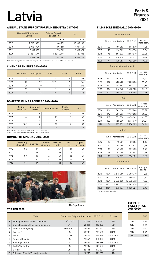# Latvia **Facts&**

#### **ANNUAL STATE SUPPORT FOR FILM INDUSTRY 2017-2021**

|      | <b>National Film Centre</b><br>of Latvia | <b>Culture Capital</b><br>Foundation | Total      |
|------|------------------------------------------|--------------------------------------|------------|
|      | <b>EUR</b>                               | <b>EUR</b>                           | <b>EUR</b> |
| 2017 | 9795965*                                 | 666 273                              | 10 462 238 |
| 2018 | 6 012 776*                               | 996 685                              | 7 009 461  |
| 2019 | 5462576                                  | 934 803                              | 6 397 379  |
| 2020 | 8 403 164**                              | 1 221 639**                          | 9 624 803  |
| 2021 | 6 351 139                                | 951987                               | 7 303 126  |

\*Incl. Latvian Republic 100 Years film support | \*\*Incl. state support to cover COVID-19 damages

#### **CINEMA PREMIERES 2016-2020**

|      | <b>Domestic</b> | European | <b>USA</b> | Other | Total |
|------|-----------------|----------|------------|-------|-------|
| 2016 | 18              | 92       | 123        | 9     | 242   |
| 2017 | 22              | 99       | 122        | 12    | 255   |
| 2018 | 30              | 110      | 116        | 15    | 271   |
| 2019 | 37              | 101      | 112        | 16    | 267   |
| 2020 | 15              | 74       | 49         | 15    | 153   |

#### **DOMESTIC FILMS PRODUCED 2016-2020**

|      | <b>Fiction</b><br>features | Animated<br>shorts | <b>Documentaries</b> | Fiction<br>shorts | Total |
|------|----------------------------|--------------------|----------------------|-------------------|-------|
| 2016 | 7                          | 6                  | 23                   | 6                 | 42    |
| 2017 | 6                          | 8                  | 29                   | $\mathfrak{p}$    | 45    |
| 2018 | 11                         | 6                  | 30                   |                   | 48    |
| 2019 | $18*$                      | 4                  | 32                   | 5                 | 59    |
| 2020 | $11**$                     | 11                 | 16                   | 4                 | 42    |

\*Incl. 3 feature length animated films & 4 min co-productions \*\*Incl. 1 feature length animated film & 4 min co-productions

#### **NUMBER OF CINEMAS 2016-2020**

|      | Screening<br>places (all) | Cinemas | <b>Multiplex</b><br>cinemas | <b>Screens</b><br>(all) | 3D<br>screens | Digital<br>screens |
|------|---------------------------|---------|-----------------------------|-------------------------|---------------|--------------------|
| 2016 | 25                        | 18      | 4                           | 62                      | 25            | 60                 |
| 2017 | 23                        | 18      | 4                           | 61                      | 25            | 60                 |
| 2018 | 27                        | 19      | 4                           | 66                      | 28            | 65                 |
| 2019 | 34                        | 20      | 5                           | 81                      | 36            | 72                 |
| 2020 | 32                        | 18      | 3                           | 69                      | 28            | 60                 |



#### **FILMS SCREENED (all) 2016-2020**

| Domestic films |       |            |                |                      |  |  |
|----------------|-------|------------|----------------|----------------------|--|--|
|                | Films | Admissions | <b>GBO EUR</b> | Market<br>share adm. |  |  |
| 2016           | 33    | 185 782    | 656 670        | 7,38                 |  |  |
| 2017           | 28    | 194 083    | 736 976        | 7.84                 |  |  |
| 2018           | 48    | 556 832    | 2503019        | 22.06                |  |  |
| 2019           | 54    | 548938     | 2504132        | 20,16                |  |  |
| 2020           | 41    | 178 963    | 783 300        | 19.90                |  |  |

#### European (non-domestic) Films Admissions GBO EUR Market share adm. 2016 117 357 470 1 724 778 14,21 2017 112 438 725 2 238 726 17,71 2018 140 344 483 1 803 128 13,65

2019 117 356 645 1 985 625 13,09 2020 102 199 153 1 170 795 22,14

|      | <b>USA</b> |            |                |                      |  |  |  |
|------|------------|------------|----------------|----------------------|--|--|--|
|      | Films      | Admissions | <b>GBO EUR</b> | Market<br>share adm. |  |  |  |
| 2016 | 146        | 1962126    | 9777866        | 77,98                |  |  |  |
| 2017 | 142        | 1757963    | 9 469 882      | 70.97                |  |  |  |
| 2018 | 142        | 1 552 830  | 8 658 161      | 61,53                |  |  |  |
| 2019 | 130        | 1765099    | 10 211 619     | 64,81                |  |  |  |
| 2020 | 84         | 487 133    | 2954405        | 54,16                |  |  |  |
|      |            |            |                |                      |  |  |  |

|      | Films | Admissions | <b>GBO EUR</b> | Market<br>share adm. |
|------|-------|------------|----------------|----------------------|
| 2016 | 13    | 10881      | 50 406         | 0.43                 |
| 2017 | 13    | 86 180     | 414 913        | 3.48                 |
| 2018 | 15    | 69 455     | 329 655        | 2,75                 |
| 2019 | 19    | 52740      | 261 302        | 1.94                 |
| 2020 | 19    | 34 187     | 196821         | 3.80                 |

**Other** 

#### Total All Films

|              | Films  | Admissions | <b>GBO EUR</b> | Adm. per<br>capita |
|--------------|--------|------------|----------------|--------------------|
| 2016         | $309*$ | 2516259    | 12 209 719     | 1,28               |
| 2017         | 295*   | 2 476 951  | 12860497       | 1.27               |
| 2018         | $345*$ | 2523600    | 13 293 972     | 1.30               |
|              | $320*$ | 2723422    | 14 962 678     | 1.42               |
|              | $246*$ | 899436     | 5 105 321      | 0.47               |
| 2019<br>2020 |        |            |                |                    |

\*Excl. film festival screenings

#### **AVERAGE TICKET PRICE 2016-2020**

|      | EUR  |
|------|------|
| 2016 | 4.85 |
| 2017 | 5,19 |
| 2018 | 5,27 |
| 2019 | 5.49 |
| 2020 | 5,68 |

#### The Sign Painter

#### **TOP TEN 2020**

|     | Title                               | Country of Origin Admissions |          | <b>GBO EUR</b> | Format     |
|-----|-------------------------------------|------------------------------|----------|----------------|------------|
|     | The Sign Painter/Pilsēta pie upes   | LV/CZ/LT                     | 70372    | 309 567        | 2D         |
| 2.  | Class Reunion 2/Klases salidojums 2 | LV                           | 46 261   | 248 108        | 2D         |
| 3.  | Sonic the Hedgehog                  | US/JP/CA                     | 43638    | 227317         | 2D         |
| 4.  | Frozen 2                            | US                           | 38 288   | 203 550        | 2D/3D      |
| 5.  | Tenet                               | US/GB                        | 33544    | 253755         | 2D/IMAX 2D |
| 6.  | Spies in Disquise                   | US                           | 28 5 5 6 | 155 127        | 2D/3D      |
| 7.  | <b>Bad Boys for Life</b>            | US                           | 28 0 0 4 | 189568         | 2D/IMAX 2D |
| 8.  | <b>Trolls World Tour</b>            | US                           | 26 287   | 140 657        | 2D/3D      |
| 9.  | Dolittle                            | US                           | 26 155   | 142021         | 2D         |
| 10. | Blizzard of Souls/Dveselu putenis   | LV                           | 24758    | 116 208        | 2D         |

### **Figures 2021**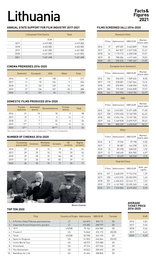# Lithuania **Facts&**

#### **ANNUAL STATE SUPPORT FOR FILM INDUSTRY 2017-2021**

|      | Lithuanian Film Centre | Total      |
|------|------------------------|------------|
|      | <b>EUR</b>             | <b>EUR</b> |
| 2017 | 4619000                | 4619000    |
| 2018 | 6 423 000              | 6 423 000  |
| 2019 | 6 431 000              | 6 431 000  |
| 2020 | 6441000                | 6441000    |
| 2021 | 7451498                | 7451498    |

#### **CINEMA PREMIERES 2016-2020**

|      | Domestic | European | <b>USA</b> | Other | Total |
|------|----------|----------|------------|-------|-------|
| 2016 | 13       | 69       | 128        | 7     | 217   |
| 2017 | 11       | 92       | 124        | 9     | 236   |
| 2018 | 21       | 124      | 139        | 15    | 299   |
| 2019 | 27       | 134      | 107        | 20    | 288   |
| 2020 | 13       | 101      | 54         | 11    | 179   |

#### **DOMESTIC FILMS PRODUCED 2016-2020**

|      | Fiction<br>features | Animated<br>shorts | <b>Documentaries</b> | Fiction<br>shorts | Total |
|------|---------------------|--------------------|----------------------|-------------------|-------|
| 2016 | 21                  | 10                 | 18                   | 9                 | 58    |
| 2017 | 15                  | 7                  | 5                    | 14                | 41    |
| 2018 | 21                  | 7                  | 22                   | 4                 | 54    |
| 2019 | $17*$               | 7                  | 16                   | 12                | 52    |
| 2020 | $12**$              |                    | $18***$              | 5                 | 36    |

\*Incl. 2 min co-productions | \*\*Incl. 5 min co-productions | \*\*\*Incl. 2 min co-productions

#### **NUMBER OF CINEMAS 2016-2020**

|      | Screening<br>places (all) | <b>Cinemas</b> | <b>Multiplex</b><br>cinemas | <b>Screens</b> | 3D<br>screens | Digital<br>screens |
|------|---------------------------|----------------|-----------------------------|----------------|---------------|--------------------|
| 2016 | 39                        | 29             | 10                          | 79             | 25            | 54                 |
| 2017 | 39                        | 29             | 10                          | 79             | 25            | 54                 |
| 2018 | 39                        | 28             | 10                          | 84             | 28            | 71                 |
| 2019 | 37                        | 26             | 10                          | 82             | 29            | 71                 |
| 2020 | 36                        | 25             | 10                          | 77             | 30            | 71                 |



#### **FILMS SCREENED (all) 2016-2020**

| Domestic films |              |            |                |                      |
|----------------|--------------|------------|----------------|----------------------|
|                | <b>Films</b> | Admissions | <b>GBO EUR</b> | Market<br>share adm. |
| 2016           | 17           | 699 207    | 3463809        | 19.50                |
| 2017           | 13           | 861827     | 4527528        | 21.47                |
| 2018           | 26           | 1 173 713  | 6 250 538      | 27,51                |
| 2019           | 35           | 788 284    | 4417603        | 19.03                |
| 2020           | 23           | 335324     | 1981467        | 21,87                |

#### European (non-domestic) Films Admissions GBO EUR Market share adm. 2016 104 336 493 1 509 654 8,50 2017 110 528 081 2 367 564 13,16 2018 150 555 895 2 658 350 13,03 2019 183 715 349 3 546 828 17,27 2020 144 363 902 1 843 156 23,73

|      | Films | Admissions | <b>GBO EUR</b> | Market<br>share adm. |
|------|-------|------------|----------------|----------------------|
| 2016 | 162   | 2 613 001  | 12 671 608     | 71,50                |
| 2017 | 158   | 2593630    | 13 160 705     | 64.62                |
| 2018 | 160   | 2454136    | 13 167 184     | 57,53                |
| 2019 | 140   | 2469818    | 13 695 929     | 59.63                |
| 2020 | 90    | 800 239    | 4490040        | 52,21                |
|      |       |            |                |                      |

**Other** 

USA

#### Films Admissions GBO EUR Market share adm. 2016 8 19 576 79 198 0,50 2017 9 30 387 146 298 0,76 2018 15 82 298 368 039 1,93 2019 21 168 449 834 905 4,07 2020 14 33 619 160 340 2,19

Total All Films

|      | Films | Admissions | <b>GBO EUR</b> | Adm. per<br>capita |
|------|-------|------------|----------------|--------------------|
| 2016 | 291   | 3668370    | 17 724 516     | 1.29               |
| 2017 | 290   | 4013925    | 20 20 20 95    | 1.43               |
| 2018 | 351   | 4266042    | 22 444 111     | 1.53               |
| 2019 | 379   | 4 141 900  | 22 495 265     | 1,48               |
| 2020 | 271   | 1533084    | 8475003        | 0.55               |

#### Nova Lituania

#### **TOP TEN 2020**

|     | Title                              | Country of Origin Admissions |         | <b>GBO EUR</b> | Format |
|-----|------------------------------------|------------------------------|---------|----------------|--------|
|     | A Perfect Date/Tobulas pasimatymas | LT                           | 146815  | 874 111        | 2D     |
| 2.  | Imported Groom/Importinis jaunikis | LT                           | 115 283 | 698797         | 2D     |
| 3.  | 1917                               | US/GB                        | 75 166  | 456983         | 2D     |
| 4.  | Frozen 2                           | US                           | 74840   | 374 172        | 2D/3D  |
| 5.  | Tenet                              | US/GB                        | 52 938  | 342 135        | 2D     |
| 6.  | Spies In Disquise                  | US                           | 51053   | 246064         | 2D/3D  |
| 7.  | Trolls World Tour                  | US                           | 48 973  | 229 280        | 2D     |
| 8.  | Greenland                          | US                           | 37 216  | 227526         | 2D     |
| 9.  | The Gentlemen                      | US                           | 35023   | 209 493        | 2D     |
| 10. | <b>Bad Boys for Life</b>           | US                           | 31 654  | 188865         | 2D     |

#### **AVERAGE TICKET PRICE 2016-2020**

|      | EUR  |
|------|------|
| 2016 | 4,83 |
| 2017 | 5.03 |
| 2018 | 5,26 |
| 2019 | 5,43 |
| 2020 | 5.53 |

### **Figures 2021**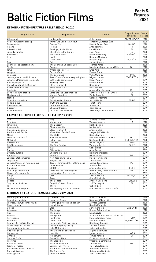## Baltic Fiction Films

### **Facts& Figures 2021**

#### **ESTONIAN FICTION FEATURES RELEASED 2019-2020**

| <b>Original Title</b>          | <b>English Title</b>               | <b>Director</b>                   | Co-production Year of<br>countries | Release |
|--------------------------------|------------------------------------|-----------------------------------|------------------------------------|---------|
| Alljumalad                     | Undergods                          | Chino Moya                        | GB/BE/RS/SE                        | 2020    |
| Asjad, millest me ei räägi     | Things We Don't Talk About         | Tanel Ingi, Andrejs Ēķis          |                                    | 2020    |
| Erna on sõjas                  | Erna at War                        | Henrik Ruben Genz                 | DK/BE                              | 2020    |
| Helene                         | Helene                             | Antti Jokinen                     | F1                                 | 2020    |
| Hüvasti, NSVL                  | Goodbye, Soviet Union              | Lauri Randla                      | F1                                 | 2020    |
| Jõulud džunglis                | Christmas in the Jungle            | Jaak Kilmi                        | LV                                 | 2020    |
| Konverents                     | The Conference                     | Ivan I. Tverdosky                 | RU/GB/IT                           | 2020    |
| Kratt                          | Kratt                              | Rasmus Meribyoo                   |                                    | 2020    |
| 02                             | Dawn of War                        | Margus Paju                       | FI/LV/LT                           | 2020    |
| Rain                           | Rain                               | Janno Jürgens                     |                                    | 2020    |
| Salmonid: 25 aastat hiljem     | The Salmons: 25 Years Later        | <b>Toomas Kirss</b>               |                                    | 2020    |
| Sipsik                         | Raggie                             | Meelis Arulepp, Karsten Kiilerich | DK                                 | 2020    |
| Talve                          | Where the Heart Is                 | Ergo Kuld                         |                                    | 2020    |
| Vee peal                       | On the Water                       | Peeter Simm                       |                                    | 2020    |
| Viimased                       | The Last Ones                      | Veiko Öunpuu                      | FI/NL                              | 2020    |
| Jeesus juhatab sind kiirteele  | Jesus Shows You the Way to Highway | Miquel Llanso                     | ES/LT/ET/LV                        | 2019    |
| Johannes Pääsukese tõeline elu | Self-Made Cameraman                | Hardi Volmer                      |                                    | 2019    |
| Kiirtee põrgusse               | Highway to Hell                    | Urmas E. Liiv                     |                                    | 2019    |
| Klassikokkutulek 3. Ristiisad  | <b>Class Reunion 3</b>             | René Vilbre                       |                                    | 2019    |
| Kõhedad muinaslood             | Eerie Fairy Tales                  | Mart Sander                       |                                    | 2019    |
| Kohtunik                       | Your Honor                         | Andres Puustusmaa                 | <b>RU</b>                          | 2019    |
| Lotte ja kadunud lohed         | Lotte and the Lost Dragons         | Janno Põldma, Heiki Ernits        | LV                                 | 2019    |
| Maria paradiis                 | Maria's Paradise                   | Zaida Bergoth                     | F1                                 | 2019    |
| Mehed                          | Men                                | Gerda Kordemets                   |                                    | 2019    |
| Skandinaavia vaikus            | Scandinavian Silence               | Martti Helde                      | FR/BE                              | 2019    |
| Tõde ja õigus                  | Truth and Justice                  | <b>Tanel Toom</b>                 |                                    | 2019    |
| Ühemeheshow                    | <b>Chuck Band Show</b>             | Al Wallcat                        |                                    | 2019    |
| Ükssarvik                      | <b>Chasing Unicorns</b>            | Rain Rannu                        |                                    | 2019    |
| Vanamehe film                  | Old Man Cartoon Movie              | Mikk Mägi, Oskar Lehemaa          |                                    | 2019    |

#### **LATVIAN FICTION FEATURES RELEASED 2019-2020**

| Cojs                            | Tsov                              | Aleksey Uchitel             | RU             | 2020 |
|---------------------------------|-----------------------------------|-----------------------------|----------------|------|
| Dzimtene                        | Motherland                        | <b>Tomass Vengris</b>       | LT             | 2020 |
| Izmisums                        | The Despair                       | Kārlis Lesinš               |                | 2020 |
| Kino un mēs                     | Cinema and Us                     | Matīss Kaža                 |                | 2020 |
| Klases salidojums 2             | <b>Class Reunion 2</b>            | Andrejs Ēķis                |                | 2020 |
| Ko zina klusā Gerda             | What Silent Gerda Knows           | Jevgenijs Paškēvičs         |                | 2020 |
| Maina                           | The Shift                         | Reinis Kalvinš              |                | 2020 |
| Mans mīlākais karš              | My Favourite War                  | Ilze Burkovska-Jacobsen     | N <sub>0</sub> | 2020 |
| Mijkrēslī                       | In the Dusk                       | Šarūnas Bartas              | LT/FR/CZ/RS    | 2020 |
| Neredzamā                       | Invisible                         | Ignas Jonynas               | LT/ES          | 2020 |
| Pilsēta pie upes                | The Sign Painter                  | Viesturs Kairišs            | CZ/LT          | 2020 |
| 1906                            | 1906                              | Gatis Šmits                 |                | 2019 |
| <b>Blakus</b>                   | Side by Side                      | Alise Zarina                |                | 2019 |
| Dvēselu putenis                 | <b>Blizzard of Souls</b>          | <b>Dzintars Dreibergs</b>   |                | 2019 |
| Humorists                       | Humorist                          | Mihails Idovs               | CZ/RU          | 2019 |
| Jaungada taksometrs 2           | New Year's Eve Taxi 2             | Māris Martinsons            |                | 2019 |
| Jelgava '94                     | Jelgava '94                       | Jānis Ābele                 |                | 2019 |
| Jēkabs, Mimmi un runājošie suņi | Jacob, Mimmi and the Talking Dogs | <b>Edmunds Jansons</b>      | PL             | 2019 |
| Klases salidojums               | Class Reunion                     | Andrejs Ekis                |                | 2019 |
| Klusā upe                       | <b>Still River</b>                | Angelos Frantzis            | GR/FR          | 2019 |
| Lote un pazudušie pūķi          | Lotte and the Lost Dragons        | Heiki Ernits, Janno Põldma  | EE.            | 2019 |
| Nekas mūs neapturēs             | Nothing Can Stop Us Now           | Andris Gauja                |                | 2019 |
| Olegs                           | Oleg                              | Juris Kursietis             | BE/FR/LT       | 2019 |
| Projām                          | Away                              | Gints Zilbalodis            |                | 2019 |
| Sonāte                          | The Sonata                        | Andrew Desmond              | FR/RU/GB       | 2019 |
| Suni nevalkā bikses             | Dogs Don't Wear Pants             | J-P Valkeapää               | FI             | 2019 |
| Tur                             | There                             | <b>Uldis Cipsts</b>         |                | 2019 |
| Vecā dārza noslēpums            | The Mystery of the Old Garden     | Olafs Okonovs, Gunita Groša |                | 2019 |

#### **LITHUANIAN FEATURE FILMS RELEASED 2019-2020**

| Tobulas pasimatymas           | A Perfect Date               | Robertas Razma                  |             | 2020 |
|-------------------------------|------------------------------|---------------------------------|-------------|------|
| Importinis jaunikis           | Imported Groom               | Simonas Aškelavičius            |             | 2020 |
| Vedybos, skyrybos ir barsukas | Marriage, Divorce and Badger | Alvydas Šlepikas                |             | 2020 |
| Nova Lituania                 | Nova Lituania                | Karolis Kaupinis                |             | 2020 |
| Olegas                        | Olea                         | Juris Kursietis                 | LV/BE/FR    | 2020 |
| Advokatas                     | The Lawyer                   | Romas Zabarauskas               |             | 2020 |
| <b>Pilis</b>                  | The Castle                   | Lina Lužytė                     |             | 2020 |
| Sistema                       | The System                   | Arūnas Eimulis, Tomas Jašinskas |             | 2020 |
| Partenonas                    | Parthenon                    | Mantas Kvedaravičius            | FR/UA       | 2019 |
| Sutemose                      | In the Dusk                  | Šarūnas Bartas                  | LV/FR/CZ/RS | 2019 |
| Pasmerkti. Pajūrio džiazas    | Pasmerkti. Pajūrio džiazas   | Ramūnas Rudokas                 |             | 2019 |
| Leónė. Bėganti i šviesa       | Leónė. Bėganti i šviesa      | Žilvinas Žusinas                |             | 2019 |
| Pats sau milijonierius        | <b>Fake Millionaire</b>      | <b>Tadas Vidmantas</b>          |             | 2019 |
| Kita tylos pusė               | The Other Side of Silence    | Algimantas Puipa                |             | 2019 |
| Nematoma                      | Invisible                    | Ignas Jonynas                   | LV/ES       | 2019 |
| Gimtinė                       | Motherland                   | Tomas Vengris                   | LV          | 2019 |
| Čia buvo Saša                 | Sasha Was Here               | Ernestas Jankauskas             |             | 2019 |
| Vestuvės                      | The Wedding                  | Vygantas Bachmackij             |             | 2019 |
| Pasiutusi meilė               | Foam at the Mouth            | Jānis Nords                     | LV/PL       | 2019 |
| Išgyventi vasara              | Summer Survivors             | Marija Kavtaradzė               |             | 2019 |
| Pasmerkti, Kauno romanas      | Pasmerkti, Kauno romanas     | Ramūnas Rudokas                 |             | 2019 |
| Purpurinis rūkas              | The Purple Fog               | Raimundas Banionis              |             | 2019 |
| Ir visi jų vyrai              | And All the Men              | Donatas Ulvydas                 |             | 2019 |